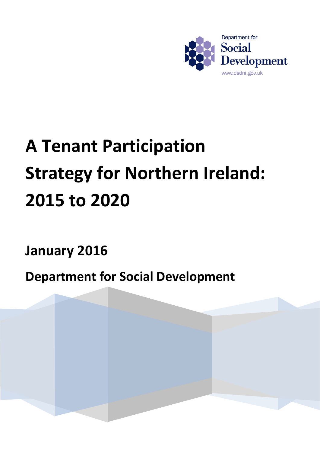

# **A Tenant Participation Strategy for Northern Ireland: 2015 to 2020**

**January 2016**

**Department for Social Development**

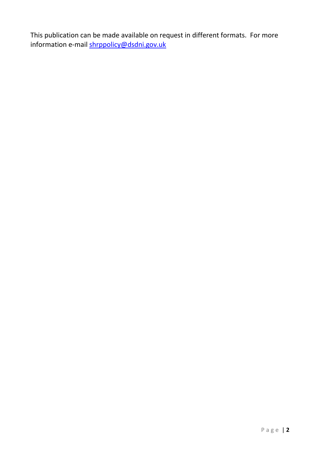This publication can be made available on request in different formats. For more information e-mail [shrppolicy@dsdni.gov.uk](mailto:shrppolicy@dsdni.gov.uk)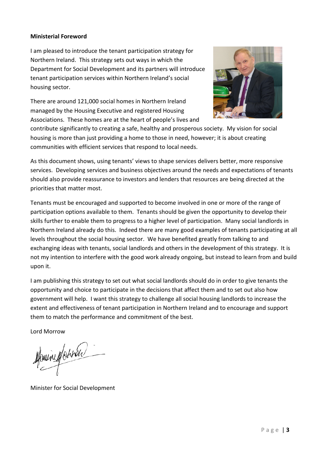## **Ministerial Foreword**

I am pleased to introduce the tenant participation strategy for Northern Ireland. This strategy sets out ways in which the Department for Social Development and its partners will introduce tenant participation services within Northern Ireland's social housing sector.

There are around 121,000 social homes in Northern Ireland managed by the Housing Executive and registered Housing Associations. These homes are at the heart of people's lives and



contribute significantly to creating a safe, healthy and prosperous society. My vision for social housing is more than just providing a home to those in need, however; it is about creating communities with efficient services that respond to local needs.

As this document shows, using tenants' views to shape services delivers better, more responsive services. Developing services and business objectives around the needs and expectations of tenants should also provide reassurance to investors and lenders that resources are being directed at the priorities that matter most.

Tenants must be encouraged and supported to become involved in one or more of the range of participation options available to them. Tenants should be given the opportunity to develop their skills further to enable them to progress to a higher level of participation. Many social landlords in Northern Ireland already do this. Indeed there are many good examples of tenants participating at all levels throughout the social housing sector. We have benefited greatly from talking to and exchanging ideas with tenants, social landlords and others in the development of this strategy. It is not my intention to interfere with the good work already ongoing, but instead to learn from and build upon it.

I am publishing this strategy to set out what social landlords should do in order to give tenants the opportunity and choice to participate in the decisions that affect them and to set out also how government will help. I want this strategy to challenge all social housing landlords to increase the extent and effectiveness of tenant participation in Northern Ireland and to encourage and support them to match the performance and commitment of the best.

Lord Morrow

Monine Marinan

Minister for Social Development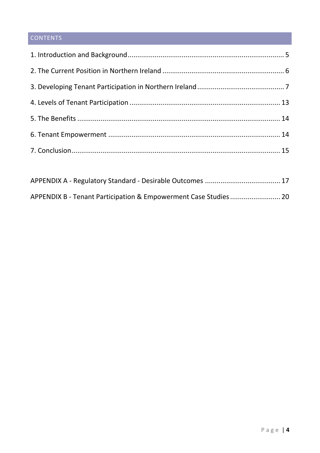## **CONTENTS**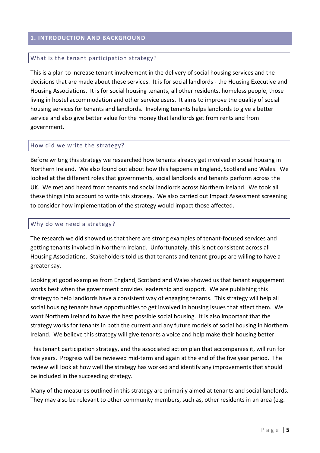#### <span id="page-4-0"></span>**1. INTRODUCTION AND BACKGROUND**

#### What is the tenant participation strategy?

This is a plan to increase tenant involvement in the delivery of social housing services and the decisions that are made about these services. It is for social landlords - the Housing Executive and Housing Associations. It is for social housing tenants, all other residents, homeless people, those living in hostel accommodation and other service users. It aims to improve the quality of social housing services for tenants and landlords. Involving tenants helps landlords to give a better service and also give better value for the money that landlords get from rents and from government.

#### How did we write the strategy?

Before writing this strategy we researched how tenants already get involved in social housing in Northern Ireland. We also found out about how this happens in England, Scotland and Wales. We looked at the different roles that governments, social landlords and tenants perform across the UK. We met and heard from tenants and social landlords across Northern Ireland. We took all these things into account to write this strategy. We also carried out Impact Assessment screening to consider how implementation of the strategy would impact those affected.

#### Why do we need a strategy?

The research we did showed us that there are strong examples of tenant-focused services and getting tenants involved in Northern Ireland. Unfortunately, this is not consistent across all Housing Associations. Stakeholders told us that tenants and tenant groups are willing to have a greater say.

Looking at good examples from England, Scotland and Wales showed us that tenant engagement works best when the government provides leadership and support. We are publishing this strategy to help landlords have a consistent way of engaging tenants. This strategy will help all social housing tenants have opportunities to get involved in housing issues that affect them. We want Northern Ireland to have the best possible social housing. It is also important that the strategy works for tenants in both the current and any future models of social housing in Northern Ireland. We believe this strategy will give tenants a voice and help make their housing better.

This tenant participation strategy, and the associated action plan that accompanies it, will run for five years. Progress will be reviewed mid-term and again at the end of the five year period. The review will look at how well the strategy has worked and identify any improvements that should be included in the succeeding strategy.

Many of the measures outlined in this strategy are primarily aimed at tenants and social landlords. They may also be relevant to other community members, such as, other residents in an area (e.g.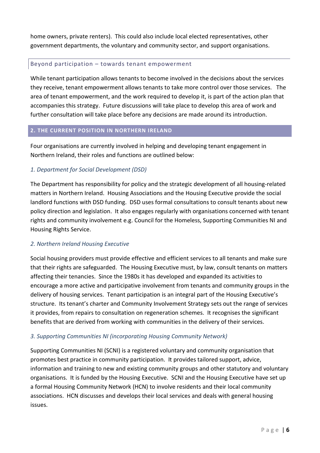home owners, private renters). This could also include local elected representatives, other government departments, the voluntary and community sector, and support organisations.

## Beyond participation – towards tenant empowerment

While tenant participation allows tenants to become involved in the decisions about the services they receive, tenant empowerment allows tenants to take more control over those services. The area of tenant empowerment, and the work required to develop it, is part of the action plan that accompanies this strategy. Future discussions will take place to develop this area of work and further consultation will take place before any decisions are made around its introduction.

## <span id="page-5-0"></span>**2. THE CURRENT POSITION IN NORTHERN IRELAND**

Four organisations are currently involved in helping and developing tenant engagement in Northern Ireland, their roles and functions are outlined below:

## *1. Department for Social Development (DSD)*

The Department has responsibility for policy and the strategic development of all housing-related matters in Northern Ireland. Housing Associations and the Housing Executive provide the social landlord functions with DSD funding. DSD uses formal consultations to consult tenants about new policy direction and legislation. It also engages regularly with organisations concerned with tenant rights and community involvement e.g. Council for the Homeless, Supporting Communities NI and Housing Rights Service.

## *2. Northern Ireland Housing Executive*

Social housing providers must provide effective and efficient services to all tenants and make sure that their rights are safeguarded. The Housing Executive must, by law, consult tenants on matters affecting their tenancies. Since the 1980s it has developed and expanded its activities to encourage a more active and participative involvement from tenants and community groups in the delivery of housing services. Tenant participation is an integral part of the Housing Executive's structure. Its tenant's charter and Community Involvement Strategy sets out the range of services it provides, from repairs to consultation on regeneration schemes. It recognises the significant benefits that are derived from working with communities in the delivery of their services.

## *3. Supporting Communities NI (incorporating Housing Community Network)*

Supporting Communities NI (SCNI) is a registered voluntary and community organisation that promotes best practice in community participation. It provides tailored support, advice, information and training to new and existing community groups and other statutory and voluntary organisations. It is funded by the Housing Executive. SCNI and the Housing Executive have set up a formal Housing Community Network (HCN) to involve residents and their local community associations. HCN discusses and develops their local services and deals with general housing issues.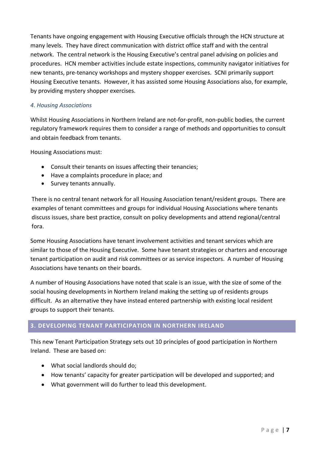Tenants have ongoing engagement with Housing Executive officials through the HCN structure at many levels. They have direct communication with district office staff and with the central network. The central network is the Housing Executive's central panel advising on policies and procedures. HCN member activities include estate inspections, community navigator initiatives for new tenants, pre-tenancy workshops and mystery shopper exercises. SCNI primarily support Housing Executive tenants. However, it has assisted some Housing Associations also, for example, by providing mystery shopper exercises.

## *4. Housing Associations*

Whilst Housing Associations in Northern Ireland are not-for-profit, non-public bodies, the current regulatory framework requires them to consider a range of methods and opportunities to consult and obtain feedback from tenants.

Housing Associations must:

- Consult their tenants on issues affecting their tenancies;
- Have a complaints procedure in place; and
- Survey tenants annually.

There is no central tenant network for all Housing Association tenant/resident groups. There are examples of tenant committees and groups for individual Housing Associations where tenants discuss issues, share best practice, consult on policy developments and attend regional/central fora.

Some Housing Associations have tenant involvement activities and tenant services which are similar to those of the Housing Executive. Some have tenant strategies or charters and encourage tenant participation on audit and risk committees or as service inspectors. A number of Housing Associations have tenants on their boards.

A number of Housing Associations have noted that scale is an issue, with the size of some of the social housing developments in Northern Ireland making the setting up of residents groups difficult. As an alternative they have instead entered partnership with existing local resident groups to support their tenants.

## <span id="page-6-0"></span>**3. DEVELOPING TENANT PARTICIPATION IN NORTHERN IRELAND**

This new Tenant Participation Strategy sets out 10 principles of good participation in Northern Ireland. These are based on:

- What social landlords should do;
- How tenants' capacity for greater participation will be developed and supported; and
- What government will do further to lead this development.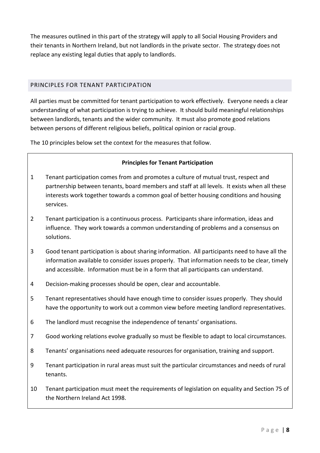The measures outlined in this part of the strategy will apply to all Social Housing Providers and their tenants in Northern Ireland, but not landlords in the private sector. The strategy does not replace any existing legal duties that apply to landlords.

## PRINCIPLES FOR TENANT PARTICIPATION

All parties must be committed for tenant participation to work effectively. Everyone needs a clear understanding of what participation is trying to achieve. It should build meaningful relationships between landlords, tenants and the wider community. It must also promote good relations between persons of different religious beliefs, political opinion or racial group.

The 10 principles below set the context for the measures that follow.

## **Principles for Tenant Participation**

- 1 Tenant participation comes from and promotes a culture of mutual trust, respect and partnership between tenants, board members and staff at all levels. It exists when all these interests work together towards a common goal of better housing conditions and housing services.
- 2 Tenant participation is a continuous process. Participants share information, ideas and influence. They work towards a common understanding of problems and a consensus on solutions.
- 3 Good tenant participation is about sharing information. All participants need to have all the information available to consider issues properly. That information needs to be clear, timely and accessible. Information must be in a form that all participants can understand.
- 4 Decision-making processes should be open, clear and accountable.
- 5 Tenant representatives should have enough time to consider issues properly. They should have the opportunity to work out a common view before meeting landlord representatives.
- 6 The landlord must recognise the independence of tenants' organisations.
- 7 Good working relations evolve gradually so must be flexible to adapt to local circumstances.
- 8 Tenants' organisations need adequate resources for organisation, training and support.
- 9 Tenant participation in rural areas must suit the particular circumstances and needs of rural tenants.
- 10 Tenant participation must meet the requirements of legislation on equality and Section 75 of the Northern Ireland Act 1998.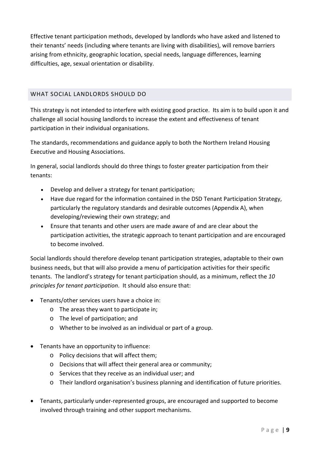Effective tenant participation methods, developed by landlords who have asked and listened to their tenants' needs (including where tenants are living with disabilities), will remove barriers arising from ethnicity, geographic location, special needs, language differences, learning difficulties, age, sexual orientation or disability.

## WHAT SOCIAL LANDLORDS SHOULD DO

This strategy is not intended to interfere with existing good practice. Its aim is to build upon it and challenge all social housing landlords to increase the extent and effectiveness of tenant participation in their individual organisations.

The standards, recommendations and guidance apply to both the Northern Ireland Housing Executive and Housing Associations.

In general, social landlords should do three things to foster greater participation from their tenants:

- Develop and deliver a strategy for tenant participation;
- Have due regard for the information contained in the DSD Tenant Participation Strategy, particularly the regulatory standards and desirable outcomes (Appendix A), when developing/reviewing their own strategy; and
- Ensure that tenants and other users are made aware of and are clear about the participation activities, the strategic approach to tenant participation and are encouraged to become involved.

Social landlords should therefore develop tenant participation strategies, adaptable to their own business needs, but that will also provide a menu of participation activities for their specific tenants. The landlord's strategy for tenant participation should, as a minimum, reflect the *10 principles for tenant participation*. It should also ensure that:

- Tenants/other services users have a choice in:
	- o The areas they want to participate in;
	- o The level of participation; and
	- o Whether to be involved as an individual or part of a group.
- Tenants have an opportunity to influence:
	- o Policy decisions that will affect them;
	- o Decisions that will affect their general area or community;
	- o Services that they receive as an individual user; and
	- o Their landlord organisation's business planning and identification of future priorities.
- Tenants, particularly under-represented groups, are encouraged and supported to become involved through training and other support mechanisms.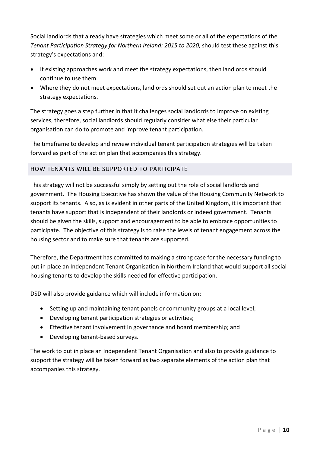Social landlords that already have strategies which meet some or all of the expectations of the *Tenant Participation Strategy for Northern Ireland: 2015 to 2020, should test these against this* strategy's expectations and:

- If existing approaches work and meet the strategy expectations, then landlords should continue to use them.
- Where they do not meet expectations, landlords should set out an action plan to meet the strategy expectations.

The strategy goes a step further in that it challenges social landlords to improve on existing services, therefore, social landlords should regularly consider what else their particular organisation can do to promote and improve tenant participation.

The timeframe to develop and review individual tenant participation strategies will be taken forward as part of the action plan that accompanies this strategy.

## HOW TENANTS WILL BE SUPPORTED TO PARTICIPATE

This strategy will not be successful simply by setting out the role of social landlords and government. The Housing Executive has shown the value of the Housing Community Network to support its tenants. Also, as is evident in other parts of the United Kingdom, it is important that tenants have support that is independent of their landlords or indeed government. Tenants should be given the skills, support and encouragement to be able to embrace opportunities to participate. The objective of this strategy is to raise the levels of tenant engagement across the housing sector and to make sure that tenants are supported.

Therefore, the Department has committed to making a strong case for the necessary funding to put in place an Independent Tenant Organisation in Northern Ireland that would support all social housing tenants to develop the skills needed for effective participation.

DSD will also provide guidance which will include information on:

- Setting up and maintaining tenant panels or community groups at a local level;
- Developing tenant participation strategies or activities;
- Effective tenant involvement in governance and board membership; and
- Developing tenant-based surveys.

The work to put in place an Independent Tenant Organisation and also to provide guidance to support the strategy will be taken forward as two separate elements of the action plan that accompanies this strategy.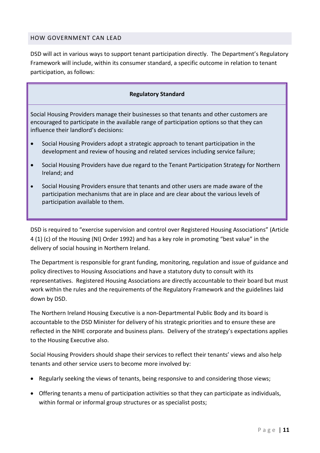## HOW GOVERNMENT CAN LEAD

DSD will act in various ways to support tenant participation directly. The Department's Regulatory Framework will include, within its consumer standard, a specific outcome in relation to tenant participation, as follows:

#### **Regulatory Standard**

Social Housing Providers manage their businesses so that tenants and other customers are encouraged to participate in the available range of participation options so that they can influence their landlord's decisions:

- Social Housing Providers adopt a strategic approach to tenant participation in the development and review of housing and related services including service failure;
- Social Housing Providers have due regard to the Tenant Participation Strategy for Northern Ireland; and
- Social Housing Providers ensure that tenants and other users are made aware of the participation mechanisms that are in place and are clear about the various levels of participation available to them.

DSD is required to "exercise supervision and control over Registered Housing Associations" (Article 4 (1) (c) of the Housing (NI) Order 1992) and has a key role in promoting "best value" in the delivery of social housing in Northern Ireland.

The Department is responsible for grant funding, monitoring, regulation and issue of guidance and policy directives to Housing Associations and have a statutory duty to consult with its representatives. Registered Housing Associations are directly accountable to their board but must work within the rules and the requirements of the Regulatory Framework and the guidelines laid down by DSD.

The Northern Ireland Housing Executive is a non-Departmental Public Body and its board is accountable to the DSD Minister for delivery of his strategic priorities and to ensure these are reflected in the NIHE corporate and business plans. Delivery of the strategy's expectations applies to the Housing Executive also.

Social Housing Providers should shape their services to reflect their tenants' views and also help tenants and other service users to become more involved by:

- Regularly seeking the views of tenants, being responsive to and considering those views;
- Offering tenants a menu of participation activities so that they can participate as individuals, within formal or informal group structures or as specialist posts;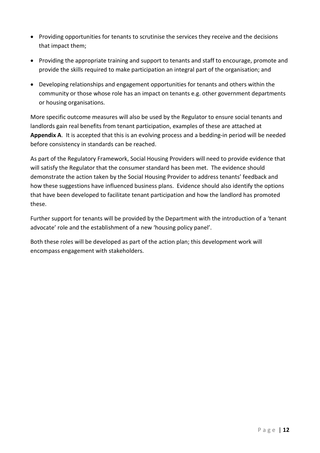- Providing opportunities for tenants to scrutinise the services they receive and the decisions that impact them;
- Providing the appropriate training and support to tenants and staff to encourage, promote and provide the skills required to make participation an integral part of the organisation; and
- Developing relationships and engagement opportunities for tenants and others within the community or those whose role has an impact on tenants e.g. other government departments or housing organisations.

More specific outcome measures will also be used by the Regulator to ensure social tenants and landlords gain real benefits from tenant participation, examples of these are attached at **Appendix A**. It is accepted that this is an evolving process and a bedding-in period will be needed before consistency in standards can be reached.

As part of the Regulatory Framework, Social Housing Providers will need to provide evidence that will satisfy the Regulator that the consumer standard has been met. The evidence should demonstrate the action taken by the Social Housing Provider to address tenants' feedback and how these suggestions have influenced business plans. Evidence should also identify the options that have been developed to facilitate tenant participation and how the landlord has promoted these.

Further support for tenants will be provided by the Department with the introduction of a 'tenant advocate' role and the establishment of a new 'housing policy panel'.

Both these roles will be developed as part of the action plan; this development work will encompass engagement with stakeholders.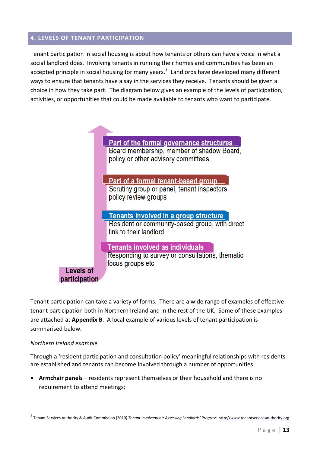## <span id="page-12-0"></span>**4. LEVELS OF TENANT PARTICIPATION**

Tenant participation in social housing is about how tenants or others can have a voice in what a social landlord does. Involving tenants in running their homes and communities has been an accepted principle in social housing for many years.<sup>[1](#page-12-1)</sup> Landlords have developed many different ways to ensure that tenants have a say in the services they receive. Tenants should be given a choice in how they take part. The diagram below gives an example of the levels of participation, activities, or opportunities that could be made available to tenants who want to participate.



Tenant participation can take a variety of forms. There are a wide range of examples of effective tenant participation both in Northern Ireland and in the rest of the UK. Some of these examples are attached at **Appendix B**. A local example of various levels of tenant participation is summarised below.

#### *Northern Ireland example*

-

Through a 'resident participation and consultation policy' meaningful relationships with residents are established and tenants can become involved through a number of opportunities:

• **Armchair panels** – residents represent themselves or their household and there is no requirement to attend meetings;

<span id="page-12-1"></span><sup>1</sup> Tenant Services Authority & Audit Commission (2010) *Tenant Involvement: Assessing Landlords' Progress* http://www.tenantservicesauthority.org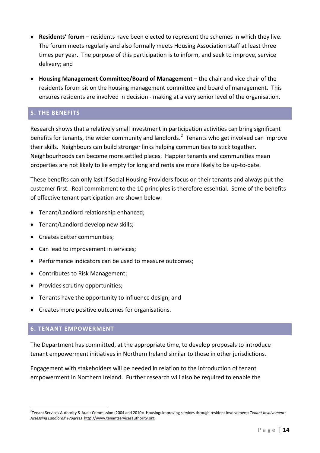- **Residents' forum** residents have been elected to represent the schemes in which they live. The forum meets regularly and also formally meets Housing Association staff at least three times per year. The purpose of this participation is to inform, and seek to improve, service delivery; and
- **Housing Management Committee/Board of Management** the chair and vice chair of the residents forum sit on the housing management committee and board of management. This ensures residents are involved in decision - making at a very senior level of the organisation.

## <span id="page-13-0"></span>**5. THE BENEFITS**

Research shows that a relatively small investment in participation activities can bring significant benefits for tenants, the wider community and landlords.<sup>[2](#page-13-2)</sup> Tenants who get involved can improve their skills. Neighbours can build stronger links helping communities to stick together. Neighbourhoods can become more settled places. Happier tenants and communities mean properties are not likely to lie empty for long and rents are more likely to be up-to-date.

These benefits can only last if Social Housing Providers focus on their tenants and always put the customer first. Real commitment to the 10 principles is therefore essential. Some of the benefits of effective tenant participation are shown below:

- Tenant/Landlord relationship enhanced;
- Tenant/Landlord develop new skills;
- Creates better communities;
- Can lead to improvement in services;
- Performance indicators can be used to measure outcomes;
- Contributes to Risk Management;
- Provides scrutiny opportunities;
- Tenants have the opportunity to influence design; and
- Creates more positive outcomes for organisations.

## <span id="page-13-1"></span>**6. TENANT EMPOWERMENT**

-

The Department has committed, at the appropriate time, to develop proposals to introduce tenant empowerment initiatives in Northern Ireland similar to those in other jurisdictions.

Engagement with stakeholders will be needed in relation to the introduction of tenant empowerment in Northern Ireland. Further research will also be required to enable the

<span id="page-13-2"></span><sup>2</sup> Tenant Services Authority & Audit Commission (2004 and 2010): Housing: improving services through resident involvement; *Tenant Involvement: Assessing Landlords' Progress* http://www.tenantservicesauthority.org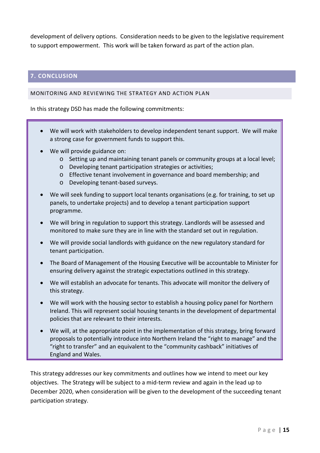development of delivery options. Consideration needs to be given to the legislative requirement to support empowerment. This work will be taken forward as part of the action plan.

## <span id="page-14-0"></span>**7. CONCLUSION**

#### MONITORING AND REVIEWING THE STRATEGY AND ACTION PLAN

In this strategy DSD has made the following commitments:

- We will work with stakeholders to develop independent tenant support. We will make a strong case for government funds to support this.
- We will provide guidance on:
	- o Setting up and maintaining tenant panels or community groups at a local level;
	- o Developing tenant participation strategies or activities;
	- o Effective tenant involvement in governance and board membership; and
	- o Developing tenant-based surveys.
- We will seek funding to support local tenants organisations (e.g. for training, to set up panels, to undertake projects) and to develop a tenant participation support programme.
- We will bring in regulation to support this strategy. Landlords will be assessed and monitored to make sure they are in line with the standard set out in regulation.
- We will provide social landlords with guidance on the new regulatory standard for tenant participation.
- The Board of Management of the Housing Executive will be accountable to Minister for ensuring delivery against the strategic expectations outlined in this strategy.
- We will establish an advocate for tenants. This advocate will monitor the delivery of this strategy.
- We will work with the housing sector to establish a housing policy panel for Northern Ireland. This will represent social housing tenants in the development of departmental policies that are relevant to their interests.
- We will, at the appropriate point in the implementation of this strategy, bring forward proposals to potentially introduce into Northern Ireland the "right to manage" and the "right to transfer" and an equivalent to the "community cashback" initiatives of England and Wales.

This strategy addresses our key commitments and outlines how we intend to meet our key objectives. The Strategy will be subject to a mid-term review and again in the lead up to December 2020, when consideration will be given to the development of the succeeding tenant participation strategy.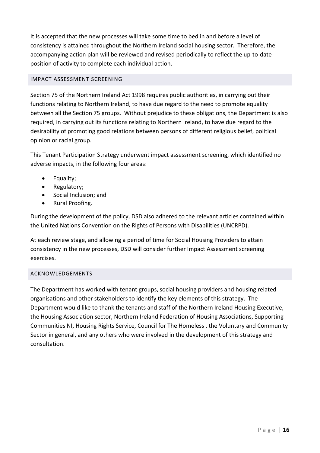It is accepted that the new processes will take some time to bed in and before a level of consistency is attained throughout the Northern Ireland social housing sector. Therefore, the accompanying action plan will be reviewed and revised periodically to reflect the up-to-date position of activity to complete each individual action.

## IMPACT ASSESSMENT SCREENING

Section 75 of the Northern Ireland Act 1998 requires public authorities, in carrying out their functions relating to Northern Ireland, to have due regard to the need to promote equality between all the Section 75 groups. Without prejudice to these obligations, the Department is also required, in carrying out its functions relating to Northern Ireland, to have due regard to the desirability of promoting good relations between persons of different religious belief, political opinion or racial group.

This Tenant Participation Strategy underwent impact assessment screening, which identified no adverse impacts, in the following four areas:

- Equality;
- Regulatory;
- Social Inclusion; and
- Rural Proofing.

During the development of the policy, DSD also adhered to the relevant articles contained within the United Nations Convention on the Rights of Persons with Disabilities (UNCRPD).

At each review stage, and allowing a period of time for Social Housing Providers to attain consistency in the new processes, DSD will consider further Impact Assessment screening exercises.

## ACKNOWLEDGEMENTS

The Department has worked with tenant groups, social housing providers and housing related organisations and other stakeholders to identify the key elements of this strategy. The Department would like to thank the tenants and staff of the Northern Ireland Housing Executive, the Housing Association sector, Northern Ireland Federation of Housing Associations, Supporting Communities NI, Housing Rights Service, Council for The Homeless , the Voluntary and Community Sector in general, and any others who were involved in the development of this strategy and consultation.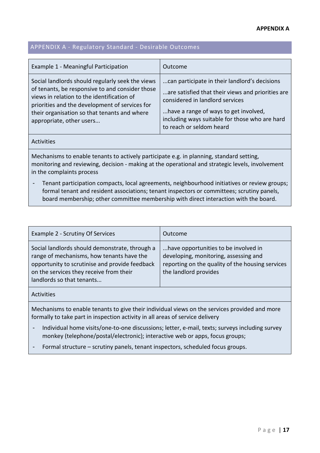#### **APPENDIX A**

## <span id="page-16-0"></span>APPENDIX A - Regulatory Standard - Desirable Outcomes

| Example 1 - Meaningful Participation                                                                                                                                                                                                                                            | Outcome                                                                                                                                                                                                                                                      |
|---------------------------------------------------------------------------------------------------------------------------------------------------------------------------------------------------------------------------------------------------------------------------------|--------------------------------------------------------------------------------------------------------------------------------------------------------------------------------------------------------------------------------------------------------------|
| Social landlords should regularly seek the views<br>of tenants, be responsive to and consider those<br>views in relation to the identification of<br>priorities and the development of services for<br>their organisation so that tenants and where<br>appropriate, other users | can participate in their landlord's decisions<br>are satisfied that their views and priorities are<br>considered in landlord services<br>have a range of ways to get involved,<br>including ways suitable for those who are hard<br>to reach or seldom heard |
|                                                                                                                                                                                                                                                                                 |                                                                                                                                                                                                                                                              |

Mechanisms to enable tenants to actively participate e.g. in planning, standard setting, monitoring and reviewing, decision - making at the operational and strategic levels, involvement in the complaints process

- Tenant participation compacts, local agreements, neighbourhood initiatives or review groups; formal tenant and resident associations; tenant inspectors or committees; scrutiny panels, board membership; other committee membership with direct interaction with the board.

| <b>Example 2 - Scrutiny Of Services</b>                                                                                                                                                                               | Outcome                                                                                                                                                    |  |  |
|-----------------------------------------------------------------------------------------------------------------------------------------------------------------------------------------------------------------------|------------------------------------------------------------------------------------------------------------------------------------------------------------|--|--|
| Social landlords should demonstrate, through a<br>range of mechanisms, how tenants have the<br>opportunity to scrutinise and provide feedback<br>on the services they receive from their<br>landlords so that tenants | have opportunities to be involved in<br>developing, monitoring, assessing and<br>reporting on the quality of the housing services<br>the landlord provides |  |  |
| <b>Activities</b>                                                                                                                                                                                                     |                                                                                                                                                            |  |  |
| Mechanisms to enable tenants to give their individual views on the services provided and more<br>formally to take part in inspection activity in all areas of service delivery                                        |                                                                                                                                                            |  |  |

- Individual home visits/one-to-one discussions; letter, e-mail, texts; surveys including survey monkey (telephone/postal/electronic); interactive web or apps, focus groups;
- Formal structure scrutiny panels, tenant inspectors, scheduled focus groups.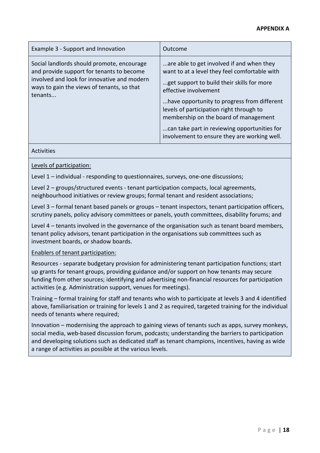## **APPENDIX A**

| Example 3 - Support and Innovation                                                                                                                                                              | Outcome                                                                                                                                                                                                                                                                                                                                                                                               |
|-------------------------------------------------------------------------------------------------------------------------------------------------------------------------------------------------|-------------------------------------------------------------------------------------------------------------------------------------------------------------------------------------------------------------------------------------------------------------------------------------------------------------------------------------------------------------------------------------------------------|
| Social landlords should promote, encourage<br>and provide support for tenants to become<br>involved and look for innovative and modern<br>ways to gain the views of tenants, so that<br>tenants | are able to get involved if and when they<br>want to at a level they feel comfortable with<br>get support to build their skills for more<br>effective involvement<br>have opportunity to progress from different<br>levels of participation right through to<br>membership on the board of management<br>can take part in reviewing opportunities for<br>involvement to ensure they are working well. |

Activities

Levels of participation:

Level 1 – individual - responding to questionnaires, surveys, one-one discussions;

Level 2 – groups/structured events - tenant participation compacts, local agreements, neighbourhood initiatives or review groups; formal tenant and resident associations;

Level 3 – formal tenant based panels or groups – tenant inspectors, tenant participation officers, scrutiny panels, policy advisory committees or panels, youth committees, disability forums; and

Level 4 – tenants involved in the governance of the organisation such as tenant board members, tenant policy advisors, tenant participation in the organisations sub committees such as investment boards, or shadow boards.

#### Enablers of tenant participation:

Resources - separate budgetary provision for administering tenant participation functions; start up grants for tenant groups, providing guidance and/or support on how tenants may secure funding from other sources; identifying and advertising non-financial resources for participation activities (e.g. Administration support, venues for meetings).

Training – formal training for staff and tenants who wish to participate at levels 3 and 4 identified above, familiarisation or training for levels 1 and 2 as required, targeted training for the individual needs of tenants where required;

Innovation – modernising the approach to gaining views of tenants such as apps, survey monkeys, social media, web-based discussion forum, podcasts; understanding the barriers to participation and developing solutions such as dedicated staff as tenant champions, incentives, having as wide a range of activities as possible at the various levels.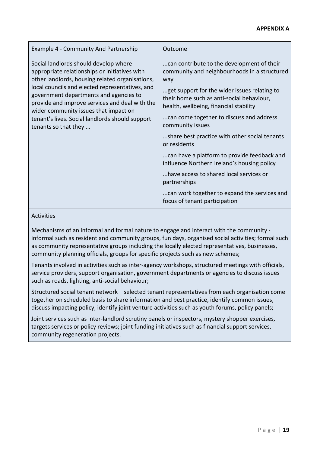## **APPENDIX A**

| <b>Example 4 - Community And Partnership</b>                                                                                                                                                                                                                                                                                                                                                                 | Outcome                                                                                                                                                                                                                                                                                                                                                                                                                                                                                                                                                                                                             |
|--------------------------------------------------------------------------------------------------------------------------------------------------------------------------------------------------------------------------------------------------------------------------------------------------------------------------------------------------------------------------------------------------------------|---------------------------------------------------------------------------------------------------------------------------------------------------------------------------------------------------------------------------------------------------------------------------------------------------------------------------------------------------------------------------------------------------------------------------------------------------------------------------------------------------------------------------------------------------------------------------------------------------------------------|
| Social landlords should develop where<br>appropriate relationships or initiatives with<br>other landlords, housing related organisations,<br>local councils and elected representatives, and<br>government departments and agencies to<br>provide and improve services and deal with the<br>wider community issues that impact on<br>tenant's lives. Social landlords should support<br>tenants so that they | can contribute to the development of their<br>community and neighbourhoods in a structured<br>way<br>get support for the wider issues relating to<br>their home such as anti-social behaviour,<br>health, wellbeing, financial stability<br>can come together to discuss and address<br>community issues<br>share best practice with other social tenants<br>or residents<br>can have a platform to provide feedback and<br>influence Northern Ireland's housing policy<br>have access to shared local services or<br>partnerships<br>can work together to expand the services and<br>focus of tenant participation |

#### Activities

Mechanisms of an informal and formal nature to engage and interact with the community informal such as resident and community groups, fun days, organised social activities; formal such as community representative groups including the locally elected representatives, businesses, community planning officials, groups for specific projects such as new schemes;

Tenants involved in activities such as inter-agency workshops, structured meetings with officials, service providers, support organisation, government departments or agencies to discuss issues such as roads, lighting, anti-social behaviour;

Structured social tenant network – selected tenant representatives from each organisation come together on scheduled basis to share information and best practice, identify common issues, discuss impacting policy, identify joint venture activities such as youth forums, policy panels;

Joint services such as inter-landlord scrutiny panels or inspectors, mystery shopper exercises, targets services or policy reviews; joint funding initiatives such as financial support services, community regeneration projects.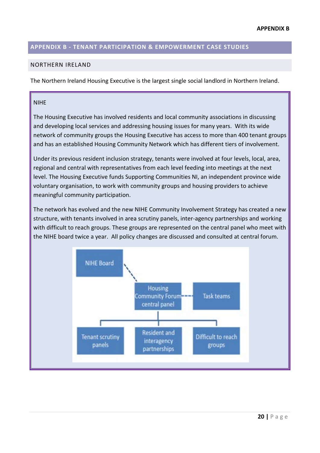## <span id="page-19-0"></span>**APPENDIX B - TENANT PARTICIPATION & EMPOWERMENT CASE STUDIES**

#### NORTHERN IRELAND

The Northern Ireland Housing Executive is the largest single social landlord in Northern Ireland.

#### NIHE

The Housing Executive has involved residents and local community associations in discussing and developing local services and addressing housing issues for many years. With its wide network of community groups the Housing Executive has access to more than 400 tenant groups and has an established Housing Community Network which has different tiers of involvement.

Under its previous resident inclusion strategy, tenants were involved at four levels, local, area, regional and central with representatives from each level feeding into meetings at the next level. The Housing Executive funds Supporting Communities NI, an independent province wide voluntary organisation, to work with community groups and housing providers to achieve meaningful community participation.

The network has evolved and the new NIHE Community Involvement Strategy has created a new structure, with tenants involved in area scrutiny panels, inter-agency partnerships and working with difficult to reach groups. These groups are represented on the central panel who meet with the NIHE board twice a year. All policy changes are discussed and consulted at central forum.

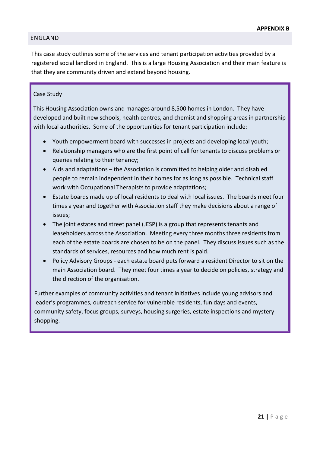#### ENGLAND

This case study outlines some of the services and tenant participation activities provided by a registered social landlord in England. This is a large Housing Association and their main feature is that they are community driven and extend beyond housing.

#### Case Study

This Housing Association owns and manages around 8,500 homes in London. They have developed and built new schools, health centres, and chemist and shopping areas in partnership with local authorities. Some of the opportunities for tenant participation include:

- Youth empowerment board with successes in projects and developing local youth;
- Relationship managers who are the first point of call for tenants to discuss problems or queries relating to their tenancy;
- Aids and adaptations the Association is committed to helping older and disabled people to remain independent in their homes for as long as possible. Technical staff work with Occupational Therapists to provide adaptations;
- Estate boards made up of local residents to deal with local issues. The boards meet four times a year and together with Association staff they make decisions about a range of issues;
- The joint estates and street panel (JESP) is a group that represents tenants and leaseholders across the Association. Meeting every three months three residents from each of the estate boards are chosen to be on the panel. They discuss issues such as the standards of services, resources and how much rent is paid.
- Policy Advisory Groups each estate board puts forward a resident Director to sit on the main Association board. They meet four times a year to decide on policies, strategy and the direction of the organisation.

Further examples of community activities and tenant initiatives include young advisors and leader's programmes, outreach service for vulnerable residents, fun days and events, community safety, focus groups, surveys, housing surgeries, estate inspections and mystery shopping.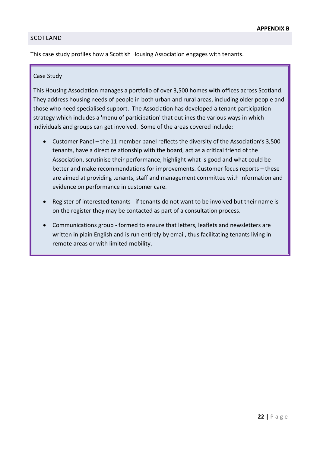## SCOTLAND

This case study profiles how a Scottish Housing Association engages with tenants.

#### Case Study

This Housing Association manages a portfolio of over 3,500 homes with offices across Scotland. They address housing needs of people in both urban and rural areas, including older people and those who need specialised support. The Association has developed a tenant participation strategy which includes a 'menu of participation' that outlines the various ways in which individuals and groups can get involved. Some of the areas covered include:

- Customer Panel the 11 member panel reflects the diversity of the Association's 3,500 tenants, have a direct relationship with the board, act as a critical friend of the Association, scrutinise their performance, highlight what is good and what could be better and make recommendations for improvements. Customer focus reports – these are aimed at providing tenants, staff and management committee with information and evidence on performance in customer care.
- Register of interested tenants if tenants do not want to be involved but their name is on the register they may be contacted as part of a consultation process.
- Communications group formed to ensure that letters, leaflets and newsletters are written in plain English and is run entirely by email, thus facilitating tenants living in remote areas or with limited mobility.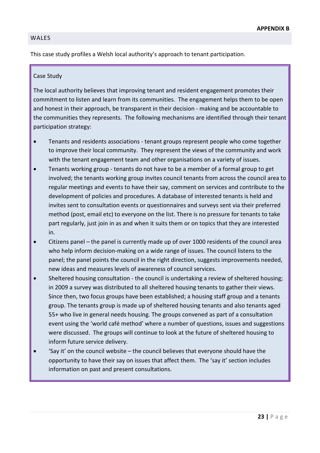#### WALES

This case study profiles a Welsh local authority's approach to tenant participation.

#### Case Study

The local authority believes that improving tenant and resident engagement promotes their commitment to listen and learn from its communities. The engagement helps them to be open and honest in their approach, be transparent in their decision - making and be accountable to the communities they represents. The following mechanisms are identified through their tenant participation strategy:

- Tenants and residents associations tenant groups represent people who come together to improve their local community. They represent the views of the community and work with the tenant engagement team and other organisations on a variety of issues.
- Tenants working group tenants do not have to be a member of a formal group to get involved; the tenants working group invites council tenants from across the council area to regular meetings and events to have their say, comment on services and contribute to the development of policies and procedures. A database of interested tenants is held and invites sent to consultation events or questionnaires and surveys sent via their preferred method (post, email etc) to everyone on the list. There is no pressure for tenants to take part regularly, just join in as and when it suits them or on topics that they are interested in.
- Citizens panel the panel is currently made up of over 1000 residents of the council area who help inform decision-making on a wide range of issues. The council listens to the panel; the panel points the council in the right direction, suggests improvements needed, new ideas and measures levels of awareness of council services.
- Sheltered housing consultation the council is undertaking a review of sheltered housing; in 2009 a survey was distributed to all sheltered housing tenants to gather their views. Since then, two focus groups have been established; a housing staff group and a tenants group. The tenants group is made up of sheltered housing tenants and also tenants aged 55+ who live in general needs housing. The groups convened as part of a consultation event using the 'world café method' where a number of questions, issues and suggestions were discussed. The groups will continue to look at the future of sheltered housing to inform future service delivery.
- 'Say it' on the council website the council believes that everyone should have the opportunity to have their say on issues that affect them. The 'say it' section includes information on past and present consultations.